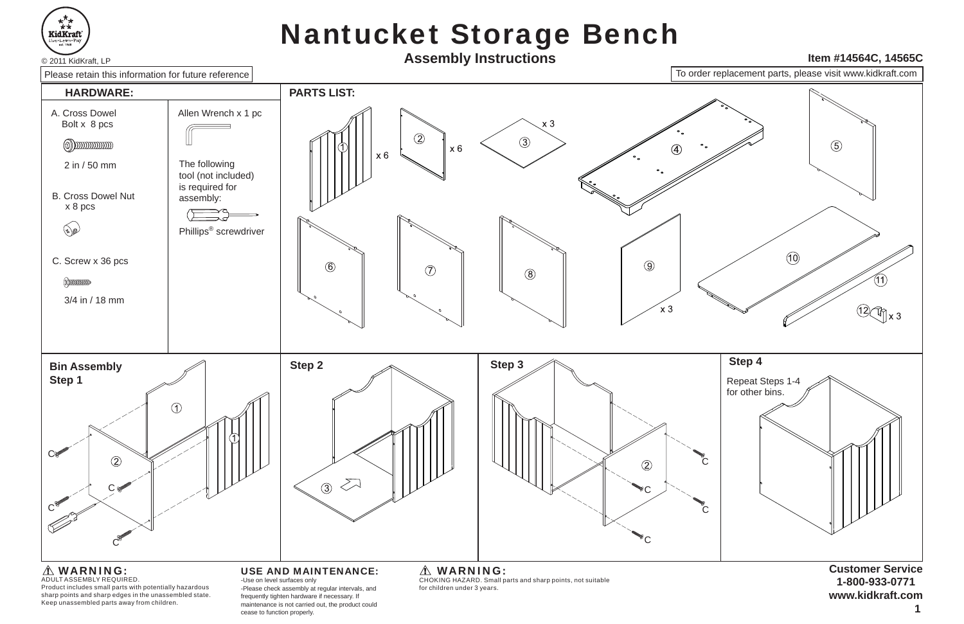

# Nantucket Storage Bench



maintenance is not carried out, the product could cease to function properly.

### WARNING:

Product includes small parts with potentially hazardous sharp points and sharp edges in the unassembled state. Keep unassembled parts away from children.

**<sup>1</sup>**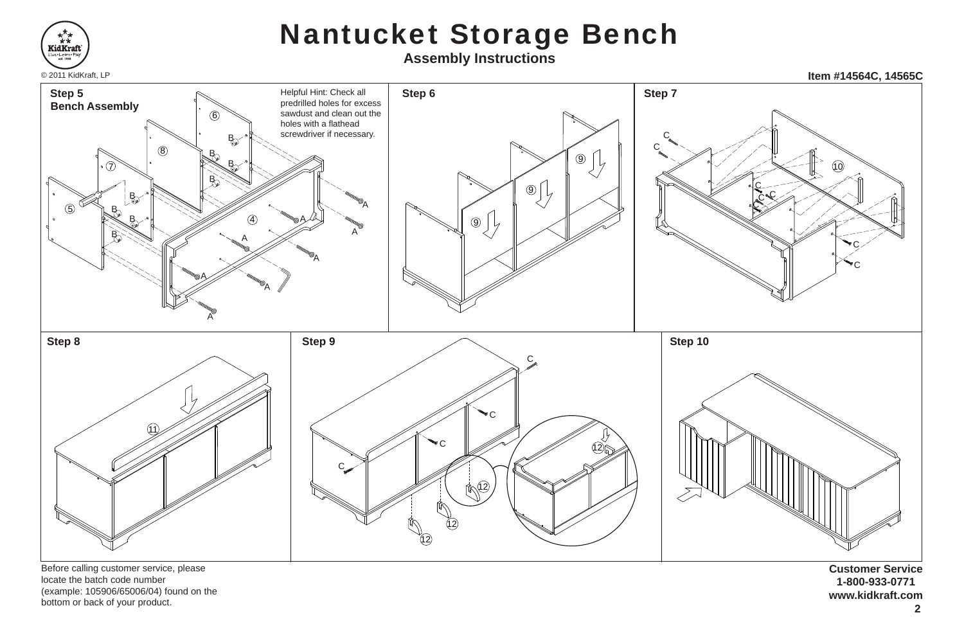

locate the batch code number (example: 105906/65006/04) found on the